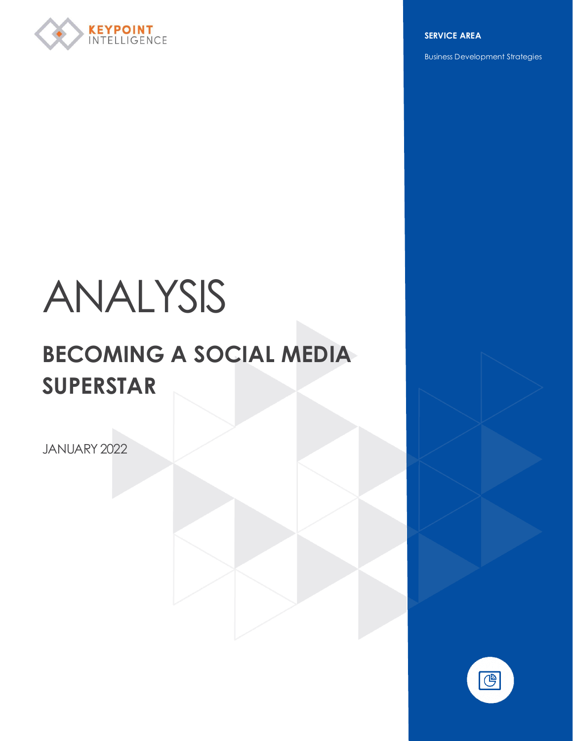

**SERVICE AREA**

Business Development Strategies

# ANALYSIS

## **BECOMING A SOCIAL MEDIA SUPERSTAR**

JANUARY 2022

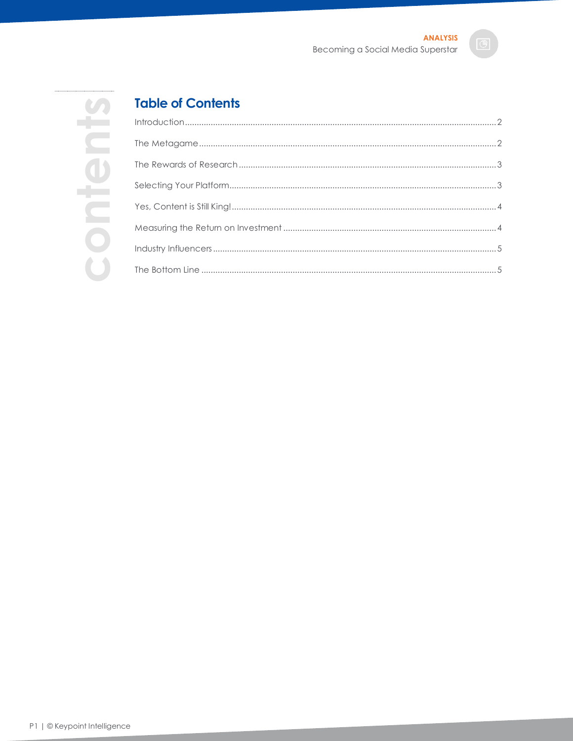# contents

### **Table of Contents**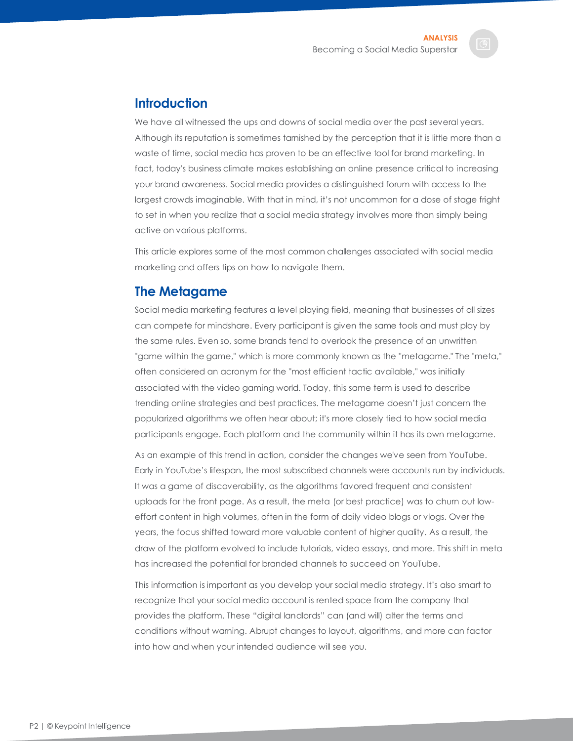<span id="page-2-0"></span>

We have all witnessed the ups and downs of social media over the past several years. Although its reputation is sometimes tarnished by the perception that it is little more than a waste of time, social media has proven to be an effective tool for brand marketing. In fact, today's business climate makes establishing an online presence critical to increasing your brand awareness. Social media provides a distinguished forum with access to the largest crowds imaginable. With that in mind, it's not uncommon for a dose of stage fright to set in when you realize that a social media strategy involves more than simply being active on various platforms.

This article explores some of the most common challenges associated with social media marketing and offers tips on how to navigate them.

### <span id="page-2-1"></span>**The Metagame**

Social media marketing features a level playing field, meaning that businesses of all sizes can compete for mindshare. Every participant is given the same tools and must play by the same rules. Even so, some brands tend to overlook the presence of an unwritten "game within the game," which is more commonly known as the "metagame." The "meta," often considered an acronym for the "most efficient tactic available," was initially associated with the video gaming world. Today, this same term is used to describe trending online strategies and best practices. The metagame doesn't just concern the popularized algorithms we often hear about; it's more closely tied to how social media participants engage. Each platform and the community within it has its own metagame.

As an example of this trend in action, consider the changes we've seen from YouTube. Early in YouTube's lifespan, the most subscribed channels were accounts run by individuals. It was a game of discoverability, as the algorithms favored frequent and consistent uploads for the front page. As a result, the meta (or best practice) was to churn out loweffort content in high volumes, often in the form of daily video blogs or vlogs. Over the years, the focus shifted toward more valuable content of higher quality. As a result, the draw of the platform evolved to include tutorials, video essays, and more. This shift in meta has increased the potential for branded channels to succeed on YouTube.

This information is important as you develop your social media strategy. It's also smart to recognize that your social media account is rented space from the company that provides the platform. These "digital landlords" can (and will) alter the terms and conditions without warning. Abrupt changes to layout, algorithms, and more can factor into how and when your intended audience will see you.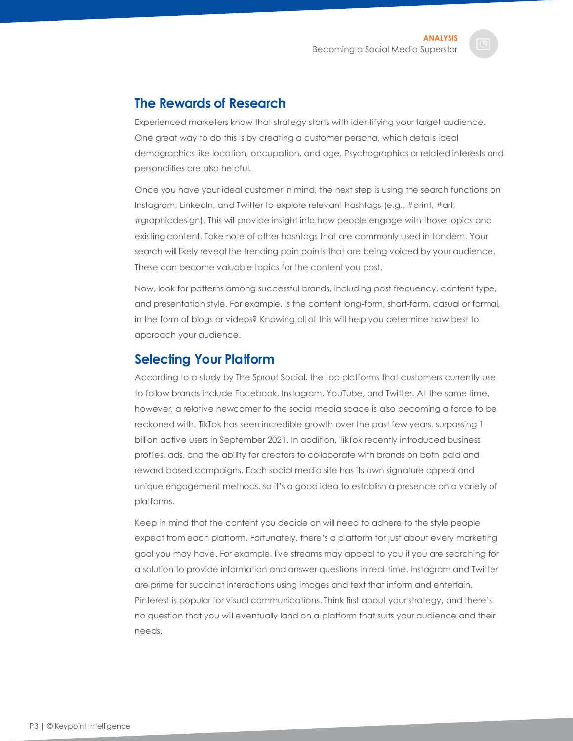### <span id="page-3-0"></span>**The Rewards of Research**

Experienced marketers know that strategy starts with identifying your target audience. One great way to do this is by creating a customer persona, which details ideal demographics like location, occupation, and age. Psychographics or related interests and personalities are also helpful.

Once you have your ideal customer in mind, the next step is using the search functions on Instagram, LinkedIn, and Twitter to explore relevant hashtags (e.g., #print, #art, #graphicdesign). This will provide insight into how people engage with those topics and existing content. Take note of other hashtags that are commonly used in tandem. Your search will likely reveal the trending pain points that are being voiced by your audience. These can become valuable topics for the content you post.

Now, look for patterns among successful brands, including post frequency, content type, and presentation style. For example, is the content long-form, short-form, casual or formal, in the form of blogs or videos? Knowing all of this will help you determine how best to approach your audience.

### <span id="page-3-1"></span>**Selecting Your Platform**

According to a study by The Sprout Social, the top platforms that customers currently use to follow brands include Facebook, Instagram, YouTube, and Twitter. At the same time, however, a relative newcomer to the social media space is also becoming a force to be reckoned with. TikTok has seen incredible growth over the past few years, surpassing 1 billion active users in September 2021. In addition, TikTok recently introduced business profiles, ads, and the ability for creators to collaborate with brands on both paid and reward-based campaigns. Each social media site has its own signature appeal and unique engagement methods, so it's a good idea to establish a presence on a variety of platforms.

Keep in mind that the content you decide on will need to adhere to the style people expect from each platform. Fortunately, there's a platform for just about every marketing goal you may have. For example, live streams may appeal to you if you are searching for a solution to provide information and answer questions in real-time. Instagram and Twitter are prime for succinct interactions using images and text that inform and entertain. Pinterest is popular for visual communications. Think first about your strategy, and there's no question that you will eventually land on a platform that suits your audience and their needs.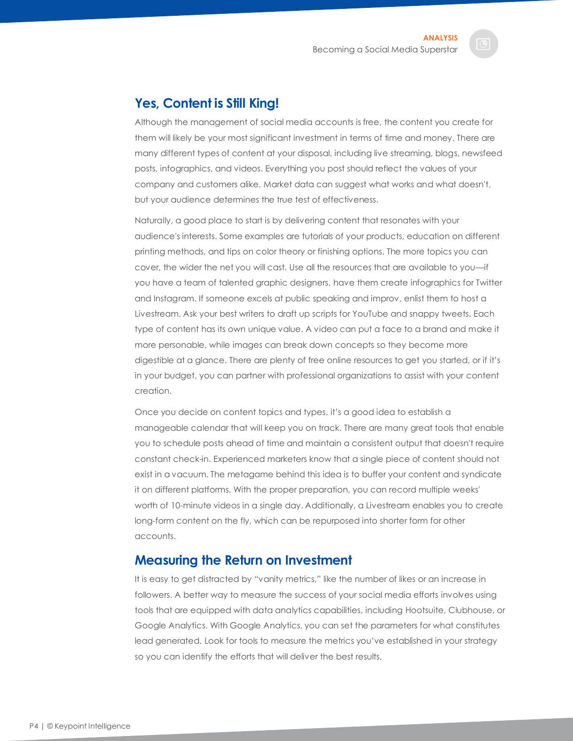### <span id="page-4-0"></span>**Yes, Content is Still King!**

Although the management of social media accounts is free, the content you create for them will likely be your most significant investment in terms of time and money. There are many different types of content at your disposal, including live streaming, blogs, newsfeed posts, infographics, and videos. Everything you post should reflect the values of your company and customers alike. Market data can suggest what works and what doesn't, but your audience determines the true test of effectiveness.

Naturally, a good place to start is by delivering content that resonates with your audience's interests. Some examples are tutorials of your products, education on different printing methods, and tips on color theory or finishing options. The more topics you can cover, the wider the net you will cast. Use all the resources that are available to you—if you have a team of talented graphic designers, have them create infographics for Twitter and Instagram. If someone excels at public speaking and improv, enlist them to host a Livestream. Ask your best writers to draft up scripts for YouTube and snappy tweets. Each type of content has its own unique value. A video can put a face to a brand and make it more personable, while images can break down concepts so they become more digestible at a glance. There are plenty of free online resources to get you started, or if it's in your budget, you can partner with professional organizations to assist with your content creation.

Once you decide on content topics and types, it's a good idea to establish a manageable calendar that will keep you on track. There are many great tools that enable you to schedule posts ahead of time and maintain a consistent output that doesn't require constant check-in. Experienced marketers know that a single piece of content should not exist in a vacuum. The metagame behind this idea is to buffer your content and syndicate it on different platforms. With the proper preparation, you can record multiple weeks' worth of 10-minute videos in a single day. Additionally, a Livestream enables you to create long-form content on the fly, which can be repurposed into shorter form for other accounts.

### <span id="page-4-1"></span>**Measuring the Return on Investment**

It is easy to get distracted by "vanity metrics," like the number of likes or an increase in followers. A better way to measure the success of your social media efforts involves using tools that are equipped with data analytics capabilities, including Hootsuite, Clubhouse, or Google Analytics. With Google Analytics, you can set the parameters for what constitutes lead generated. Look for tools to measure the metrics you've established in your strategy so you can identify the efforts that will deliver the best results.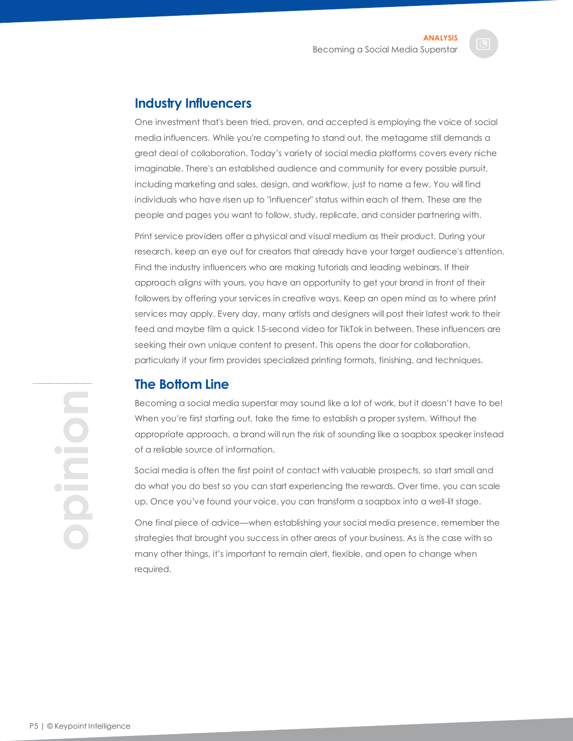### <span id="page-5-0"></span>**Industry Influencers**

One investment that's been tried, proven, and accepted is employing the voice of social media influencers. While you're competing to stand out, the metagame still demands a great deal of collaboration. Today's variety of social media platforms covers every niche imaginable. There's an established audience and community for every possible pursuit, including marketing and sales, design, and workflow, just to name a few. You will find individuals who have risen up to "influencer" status within each of them. These are the people and pages you want to follow, study, replicate, and consider partnering with.

Print service providers offer a physical and visual medium as their product. During your research, keep an eye out for creators that already have your target audience's attention. Find the industry influencers who are making tutorials and leading webinars. If their approach aligns with yours, you have an opportunity to get your brand in front of their followers by offering your services in creative ways. Keep an open mind as to where print services may apply. Every day, many artists and designers will post their latest work to their feed and maybe film a quick 15-second video for TikTok in between. These influencers are seeking their own unique content to present. This opens the door for collaboration, particularly if your firm provides specialized printing formats, finishing, and techniques.

### <span id="page-5-1"></span>**The Bottom Line**

Becoming a social media superstar may sound like a lot of work, but it doesn't have to be! When you're first starting out, take the time to establish a proper system. Without the appropriate approach, a brand will run the risk of sounding like a soapbox speaker instead of a reliable source of information.

Social media is often the first point of contact with valuable prospects, so start small and do what you do best so you can start experiencing the rewards. Over time, you can scale up. Once you've found your voice, you can transform a soapbox into a well-lit stage.

One final piece of advice—when establishing your social media presence, remember the strategies that brought you success in other areas of your business. As is the case with so many other things, it's important to remain alert, flexible, and open to change when required.